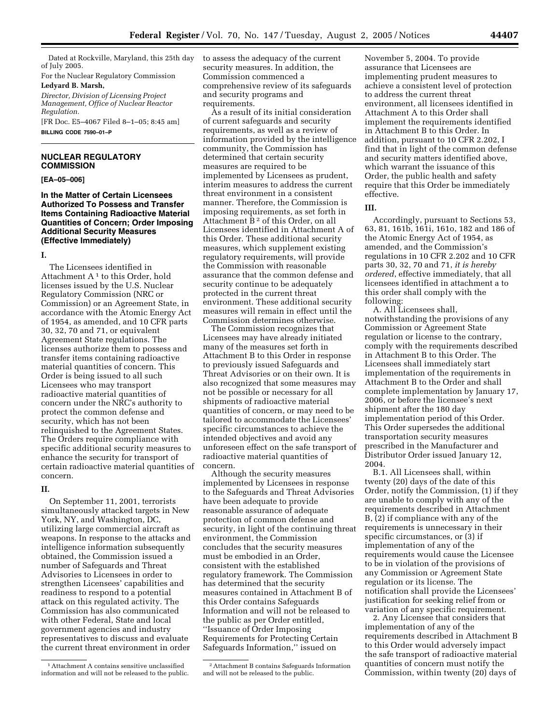Dated at Rockville, Maryland, this 25th day of July 2005.

For the Nuclear Regulatory Commission

# **Ledyard B. Marsh,**

*Director, Division of Licensing Project Management, Office of Nuclear Reactor Regulation.*

[FR Doc. E5–4067 Filed 8–1–05; 8:45 am] **BILLING CODE 7590–01–P**

#### **NUCLEAR REGULATORY COMMISSION**

#### **[EA–05–006]**

#### **In the Matter of Certain Licensees Authorized To Possess and Transfer Items Containing Radioactive Material Quantities of Concern; Order Imposing Additional Security Measures (Effective Immediately)**

#### **I.**

The Licensees identified in Attachment  $A<sup>1</sup>$  to this Order, hold licenses issued by the U.S. Nuclear Regulatory Commission (NRC or Commission) or an Agreement State, in accordance with the Atomic Energy Act of 1954, as amended, and 10 CFR parts 30, 32, 70 and 71, or equivalent Agreement State regulations. The licenses authorize them to possess and transfer items containing radioactive material quantities of concern. This Order is being issued to all such Licensees who may transport radioactive material quantities of concern under the NRC's authority to protect the common defense and security, which has not been relinquished to the Agreement States. The Orders require compliance with specific additional security measures to enhance the security for transport of certain radioactive material quantities of concern.

#### **II.**

On September 11, 2001, terrorists simultaneously attacked targets in New York, NY, and Washington, DC, utilizing large commercial aircraft as weapons. In response to the attacks and intelligence information subsequently obtained, the Commission issued a number of Safeguards and Threat Advisories to Licensees in order to strengthen Licensees' capabilities and readiness to respond to a potential attack on this regulated activity. The Commission has also communicated with other Federal, State and local government agencies and industry representatives to discuss and evaluate the current threat environment in order

to assess the adequacy of the current security measures. In addition, the Commission commenced a comprehensive review of its safeguards and security programs and requirements.

As a result of its initial consideration of current safeguards and security requirements, as well as a review of information provided by the intelligence community, the Commission has determined that certain security measures are required to be implemented by Licensees as prudent, interim measures to address the current threat environment in a consistent manner. Therefore, the Commission is imposing requirements, as set forth in Attachment B<sup>2</sup> of this Order, on all Licensees identified in Attachment A of this Order. These additional security measures, which supplement existing regulatory requirements, will provide the Commission with reasonable assurance that the common defense and security continue to be adequately protected in the current threat environment. These additional security measures will remain in effect until the Commission determines otherwise.

The Commission recognizes that Licensees may have already initiated many of the measures set forth in Attachment B to this Order in response to previously issued Safeguards and Threat Advisories or on their own. It is also recognized that some measures may not be possible or necessary for all shipments of radioactive material quantities of concern, or may need to be tailored to accommodate the Licensees' specific circumstances to achieve the intended objectives and avoid any unforeseen effect on the safe transport of radioactive material quantities of concern.

Although the security measures implemented by Licensees in response to the Safeguards and Threat Advisories have been adequate to provide reasonable assurance of adequate protection of common defense and security, in light of the continuing threat environment, the Commission concludes that the security measures must be embodied in an Order consistent with the established regulatory framework. The Commission has determined that the security measures contained in Attachment B of this Order contains Safeguards Information and will not be released to the public as per Order entitled, ''Issuance of Order Imposing Requirements for Protecting Certain Safeguards Information,'' issued on

2Attachment B contains Safeguards Information and will not be released to the public.

November 5, 2004. To provide assurance that Licensees are implementing prudent measures to achieve a consistent level of protection to address the current threat environment, all licensees identified in Attachment A to this Order shall implement the requirements identified in Attachment B to this Order. In addition, pursuant to 10 CFR 2.202, I find that in light of the common defense and security matters identified above, which warrant the issuance of this Order, the public health and safety require that this Order be immediately effective.

#### **III.**

Accordingly, pursuant to Sections 53, 63, 81, 161b, 161i, 161o, 182 and 186 of the Atomic Energy Act of 1954, as amended, and the Commission's regulations in 10 CFR 2.202 and 10 CFR parts 30, 32, 70 and 71, *it is hereby ordered*, effective immediately, that all licensees identified in attachment a to this order shall comply with the following:

A. All Licensees shall, notwithstanding the provisions of any Commission or Agreement State regulation or license to the contrary, comply with the requirements described in Attachment B to this Order. The Licensees shall immediately start implementation of the requirements in Attachment B to the Order and shall complete implementation by January 17, 2006, or before the licensee's next shipment after the 180 day implementation period of this Order. This Order supersedes the additional transportation security measures prescribed in the Manufacturer and Distributor Order issued January 12, 2004.

B.1. All Licensees shall, within twenty (20) days of the date of this Order, notify the Commission, (1) if they are unable to comply with any of the requirements described in Attachment B, (2) if compliance with any of the requirements is unnecessary in their specific circumstances, or (3) if implementation of any of the requirements would cause the Licensee to be in violation of the provisions of any Commission or Agreement State regulation or its license. The notification shall provide the Licensees' justification for seeking relief from or variation of any specific requirement.

2. Any Licensee that considers that implementation of any of the requirements described in Attachment B to this Order would adversely impact the safe transport of radioactive material quantities of concern must notify the Commission, within twenty (20) days of

<sup>1</sup>Attachment A contains sensitive unclassified information and will not be released to the public.